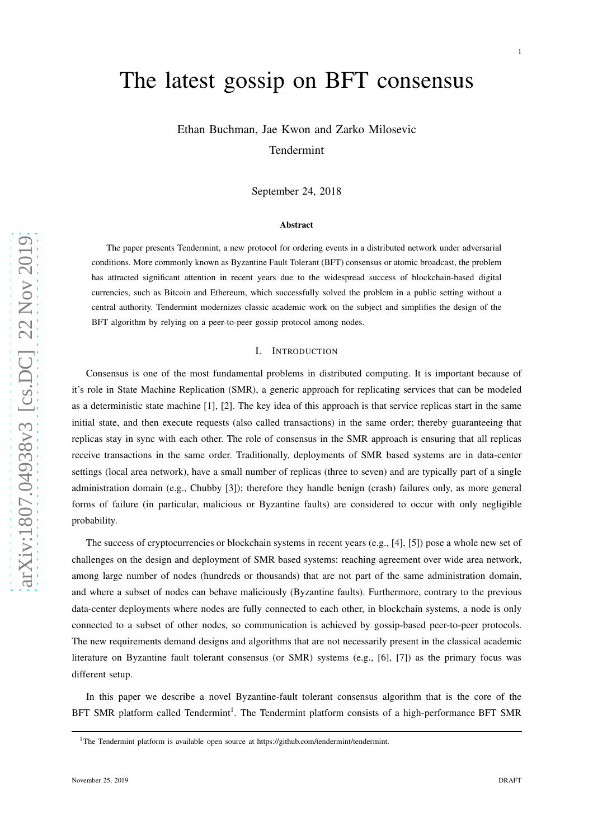# The latest gossip on BFT consensus

Ethan Buchman, Jae Kwon and Zarko Milosevic Tendermint

September 24, 2018

## Abstract

The paper presents Tendermint, a new protocol for ordering events in a distributed network under adversarial conditions. More commonly known as Byzantine Fault Tolerant (BFT) consensus or atomic broadcast, the problem has attracted significant attention in recent years due to the widespread success of blockchain-based digital currencies, such as Bitcoin and Ethereum, which successfully solved the problem in a public setting without a central authority. Tendermint modernizes classic academic work on the subject and simplifies the design of the BFT algorithm by relying on a peer-to-peer gossip protocol among nodes.

#### I. INTRODUCTION

Consensus is one of the most fundamental problems in distributed computing. It is important because of it's role in State Machine Replication (SMR), a generic approach for replicating services that can be modeled as a deterministic state machine [1], [2]. The key idea of this approach is that service replicas start in the same initial state, and then execute requests (also called transactions) in the same order; thereby guaranteeing that replicas stay in sync with each other. The role of consensus in the SMR approach is ensuring that all replicas receive transactions in the same order. Traditionally, deployments of SMR based systems are in data-center settings (local area network), have a small number of replicas (three to seven) and are typically part of a single administration domain (e.g., Chubby [3]); therefore they handle benign (crash) failures only, as more general forms of failure (in particular, malicious or Byzantine faults) are considered to occur with only negligible probability.

The success of cryptocurrencies or blockchain systems in recent years (e.g., [4], [5]) pose a whole new set of challenges on the design and deployment of SMR based systems: reaching agreement over wide area network, among large number of nodes (hundreds or thousands) that are not part of the same administration domain, and where a subset of nodes can behave maliciously (Byzantine faults). Furthermore, contrary to the previous data-center deployments where nodes are fully connected to each other, in blockchain systems, a node is only connected to a subset of other nodes, so communication is achieved by gossip-based peer-to-peer protocols. The new requirements demand designs and algorithms that are not necessarily present in the classical academic literature on Byzantine fault tolerant consensus (or SMR) systems (e.g., [6], [7]) as the primary focus was different setup.

In this paper we describe a novel Byzantine-fault tolerant consensus algorithm that is the core of the BFT SMR platform called Tendermint<sup>1</sup>. The Tendermint platform consists of a high-performance BFT SMR

1

<sup>&</sup>lt;sup>1</sup>The Tendermint platform is available open source at https://github.com/tendermint/tendermint.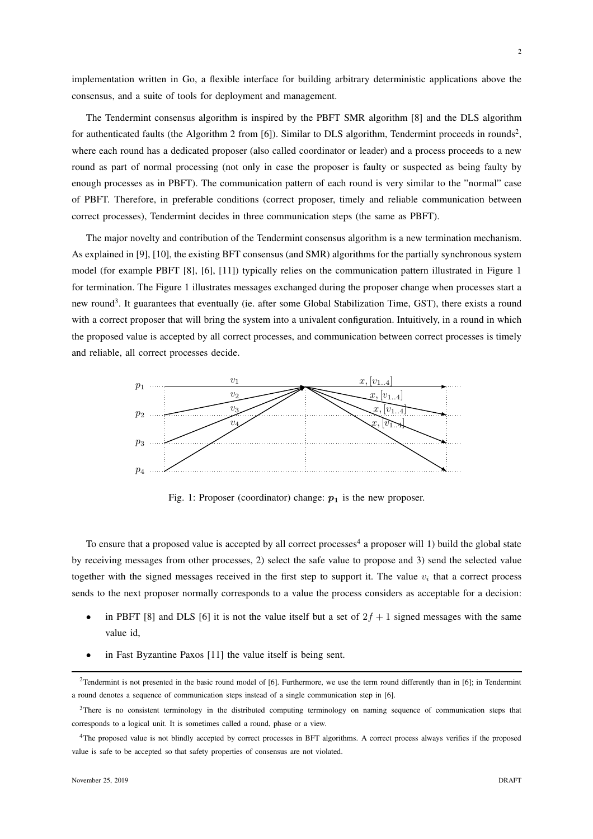implementation written in Go, a flexible interface for building arbitrary deterministic applications above the consensus, and a suite of tools for deployment and management.

The Tendermint consensus algorithm is inspired by the PBFT SMR algorithm [8] and the DLS algorithm for authenticated faults (the Algorithm 2 from [6]). Similar to DLS algorithm, Tendermint proceeds in rounds<sup>2</sup>, where each round has a dedicated proposer (also called coordinator or leader) and a process proceeds to a new round as part of normal processing (not only in case the proposer is faulty or suspected as being faulty by enough processes as in PBFT). The communication pattern of each round is very similar to the "normal" case of PBFT. Therefore, in preferable conditions (correct proposer, timely and reliable communication between correct processes), Tendermint decides in three communication steps (the same as PBFT).

The major novelty and contribution of the Tendermint consensus algorithm is a new termination mechanism. As explained in [9], [10], the existing BFT consensus (and SMR) algorithms for the partially synchronous system model (for example PBFT [8], [6], [11]) typically relies on the communication pattern illustrated in Figure 1 for termination. The Figure 1 illustrates messages exchanged during the proposer change when processes start a new round<sup>3</sup>. It guarantees that eventually (ie. after some Global Stabilization Time, GST), there exists a round with a correct proposer that will bring the system into a univalent configuration. Intuitively, in a round in which the proposed value is accepted by all correct processes, and communication between correct processes is timely and reliable, all correct processes decide.



Fig. 1: Proposer (coordinator) change:  $p_1$  is the new proposer.

To ensure that a proposed value is accepted by all correct processes<sup>4</sup> a proposer will 1) build the global state by receiving messages from other processes, 2) select the safe value to propose and 3) send the selected value together with the signed messages received in the first step to support it. The value  $v_i$  that a correct process sends to the next proposer normally corresponds to a value the process considers as acceptable for a decision:

- in PBFT [8] and DLS [6] it is not the value itself but a set of  $2f + 1$  signed messages with the same value id,
- in Fast Byzantine Paxos [11] the value itself is being sent.

<sup>&</sup>lt;sup>2</sup>Tendermint is not presented in the basic round model of [6]. Furthermore, we use the term round differently than in [6]; in Tendermint a round denotes a sequence of communication steps instead of a single communication step in [6].

<sup>&</sup>lt;sup>3</sup>There is no consistent terminology in the distributed computing terminology on naming sequence of communication steps that corresponds to a logical unit. It is sometimes called a round, phase or a view.

<sup>4</sup>The proposed value is not blindly accepted by correct processes in BFT algorithms. A correct process always verifies if the proposed value is safe to be accepted so that safety properties of consensus are not violated.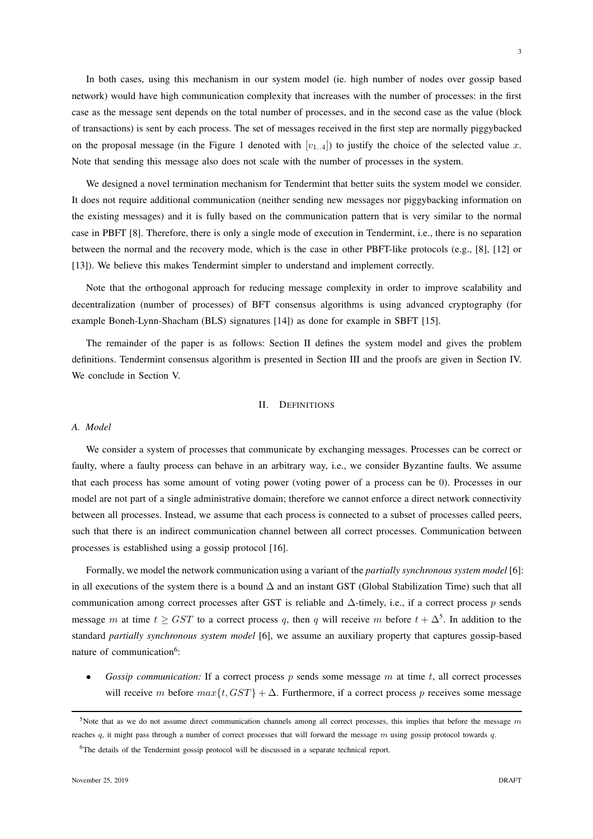In both cases, using this mechanism in our system model (ie. high number of nodes over gossip based network) would have high communication complexity that increases with the number of processes: in the first case as the message sent depends on the total number of processes, and in the second case as the value (block of transactions) is sent by each process. The set of messages received in the first step are normally piggybacked on the proposal message (in the Figure 1 denoted with  $[v_{1..4}]$ ) to justify the choice of the selected value x. Note that sending this message also does not scale with the number of processes in the system.

We designed a novel termination mechanism for Tendermint that better suits the system model we consider. It does not require additional communication (neither sending new messages nor piggybacking information on the existing messages) and it is fully based on the communication pattern that is very similar to the normal case in PBFT [8]. Therefore, there is only a single mode of execution in Tendermint, i.e., there is no separation between the normal and the recovery mode, which is the case in other PBFT-like protocols (e.g., [8], [12] or [13]). We believe this makes Tendermint simpler to understand and implement correctly.

Note that the orthogonal approach for reducing message complexity in order to improve scalability and decentralization (number of processes) of BFT consensus algorithms is using advanced cryptography (for example Boneh-Lynn-Shacham (BLS) signatures [14]) as done for example in SBFT [15].

The remainder of the paper is as follows: Section II defines the system model and gives the problem definitions. Tendermint consensus algorithm is presented in Section III and the proofs are given in Section IV. We conclude in Section V.

#### II. DEFINITIONS

# *A. Model*

We consider a system of processes that communicate by exchanging messages. Processes can be correct or faulty, where a faulty process can behave in an arbitrary way, i.e., we consider Byzantine faults. We assume that each process has some amount of voting power (voting power of a process can be 0). Processes in our model are not part of a single administrative domain; therefore we cannot enforce a direct network connectivity between all processes. Instead, we assume that each process is connected to a subset of processes called peers, such that there is an indirect communication channel between all correct processes. Communication between processes is established using a gossip protocol [16].

Formally, we model the network communication using a variant of the *partially synchronous system model* [6]: in all executions of the system there is a bound ∆ and an instant GST (Global Stabilization Time) such that all communication among correct processes after GST is reliable and  $\Delta$ -timely, i.e., if a correct process p sends message m at time  $t \geq GST$  to a correct process q, then q will receive m before  $t + \Delta^5$ . In addition to the standard *partially synchronous system model* [6], we assume an auxiliary property that captures gossip-based nature of communication<sup>6</sup>:

*Gossip communication:* If a correct process  $p$  sends some message  $m$  at time  $t$ , all correct processes will receive m before  $max{t, GST}$  +  $\Delta$ . Furthermore, if a correct process p receives some message

<sup>&</sup>lt;sup>5</sup>Note that as we do not assume direct communication channels among all correct processes, this implies that before the message  $m$ reaches q, it might pass through a number of correct processes that will forward the message m using gossip protocol towards q.

<sup>&</sup>lt;sup>6</sup>The details of the Tendermint gossip protocol will be discussed in a separate technical report.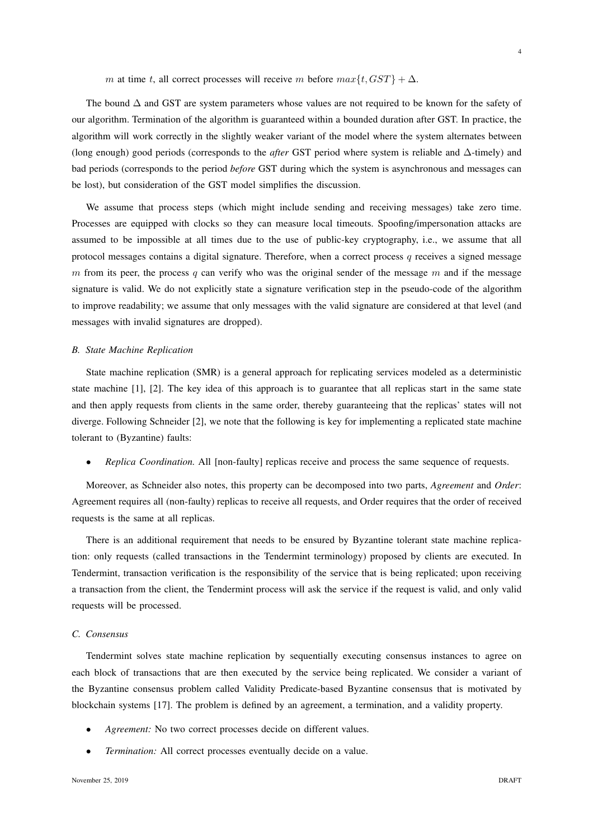m at time t, all correct processes will receive m before  $max\{t, GST\} + \Delta$ .

The bound ∆ and GST are system parameters whose values are not required to be known for the safety of our algorithm. Termination of the algorithm is guaranteed within a bounded duration after GST. In practice, the algorithm will work correctly in the slightly weaker variant of the model where the system alternates between (long enough) good periods (corresponds to the *after* GST period where system is reliable and ∆-timely) and bad periods (corresponds to the period *before* GST during which the system is asynchronous and messages can be lost), but consideration of the GST model simplifies the discussion.

We assume that process steps (which might include sending and receiving messages) take zero time. Processes are equipped with clocks so they can measure local timeouts. Spoofing/impersonation attacks are assumed to be impossible at all times due to the use of public-key cryptography, i.e., we assume that all protocol messages contains a digital signature. Therefore, when a correct process  $q$  receives a signed message m from its peer, the process q can verify who was the original sender of the message m and if the message signature is valid. We do not explicitly state a signature verification step in the pseudo-code of the algorithm to improve readability; we assume that only messages with the valid signature are considered at that level (and messages with invalid signatures are dropped).

# *B. State Machine Replication*

State machine replication (SMR) is a general approach for replicating services modeled as a deterministic state machine [1], [2]. The key idea of this approach is to guarantee that all replicas start in the same state and then apply requests from clients in the same order, thereby guaranteeing that the replicas' states will not diverge. Following Schneider [2], we note that the following is key for implementing a replicated state machine tolerant to (Byzantine) faults:

• *Replica Coordination.* All [non-faulty] replicas receive and process the same sequence of requests.

Moreover, as Schneider also notes, this property can be decomposed into two parts, *Agreement* and *Order*: Agreement requires all (non-faulty) replicas to receive all requests, and Order requires that the order of received requests is the same at all replicas.

There is an additional requirement that needs to be ensured by Byzantine tolerant state machine replication: only requests (called transactions in the Tendermint terminology) proposed by clients are executed. In Tendermint, transaction verification is the responsibility of the service that is being replicated; upon receiving a transaction from the client, the Tendermint process will ask the service if the request is valid, and only valid requests will be processed.

# *C. Consensus*

Tendermint solves state machine replication by sequentially executing consensus instances to agree on each block of transactions that are then executed by the service being replicated. We consider a variant of the Byzantine consensus problem called Validity Predicate-based Byzantine consensus that is motivated by blockchain systems [17]. The problem is defined by an agreement, a termination, and a validity property.

- Agreement: No two correct processes decide on different values.
- *Termination:* All correct processes eventually decide on a value.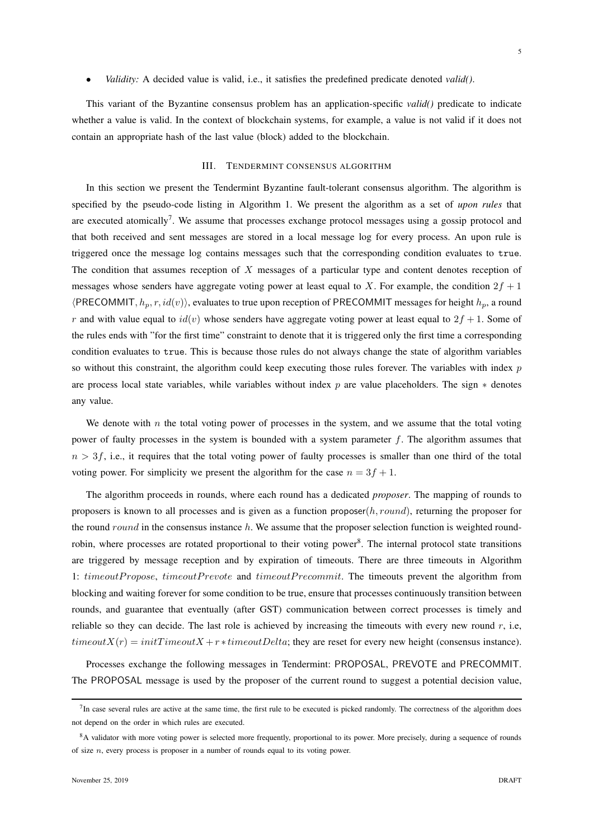• *Validity:* A decided value is valid, i.e., it satisfies the predefined predicate denoted *valid()*.

This variant of the Byzantine consensus problem has an application-specific *valid()* predicate to indicate whether a value is valid. In the context of blockchain systems, for example, a value is not valid if it does not contain an appropriate hash of the last value (block) added to the blockchain.

## III. TENDERMINT CONSENSUS ALGORITHM

In this section we present the Tendermint Byzantine fault-tolerant consensus algorithm. The algorithm is specified by the pseudo-code listing in Algorithm 1. We present the algorithm as a set of *upon rules* that are executed atomically<sup>7</sup>. We assume that processes exchange protocol messages using a gossip protocol and that both received and sent messages are stored in a local message log for every process. An upon rule is triggered once the message log contains messages such that the corresponding condition evaluates to true. The condition that assumes reception of  $X$  messages of a particular type and content denotes reception of messages whose senders have aggregate voting power at least equal to X. For example, the condition  $2f + 1$  $\langle$ PRECOMMIT,  $h_n, r, id(v) \rangle$ , evaluates to true upon reception of PRECOMMIT messages for height  $h_n$ , a round r and with value equal to  $id(v)$  whose senders have aggregate voting power at least equal to  $2f + 1$ . Some of the rules ends with "for the first time" constraint to denote that it is triggered only the first time a corresponding condition evaluates to true. This is because those rules do not always change the state of algorithm variables so without this constraint, the algorithm could keep executing those rules forever. The variables with index  $p$ are process local state variables, while variables without index p are value placeholders. The sign  $*$  denotes any value.

We denote with  $n$  the total voting power of processes in the system, and we assume that the total voting power of faulty processes in the system is bounded with a system parameter f. The algorithm assumes that  $n > 3f$ , i.e., it requires that the total voting power of faulty processes is smaller than one third of the total voting power. For simplicity we present the algorithm for the case  $n = 3f + 1$ .

The algorithm proceeds in rounds, where each round has a dedicated *proposer*. The mapping of rounds to proposers is known to all processes and is given as a function proposer $(h, round)$ , returning the proposer for the round round in the consensus instance  $h$ . We assume that the proposer selection function is weighted roundrobin, where processes are rotated proportional to their voting power<sup>8</sup>. The internal protocol state transitions are triggered by message reception and by expiration of timeouts. There are three timeouts in Algorithm 1: timeoutPropose, timeoutPrevote and timeoutPrecommit. The timeouts prevent the algorithm from blocking and waiting forever for some condition to be true, ensure that processes continuously transition between rounds, and guarantee that eventually (after GST) communication between correct processes is timely and reliable so they can decide. The last role is achieved by increasing the timeouts with every new round  $r$ , i.e,  $timeoutX(r) = initTimeoutX + r * timeoutDelta$ ; they are reset for every new height (consensus instance).

Processes exchange the following messages in Tendermint: PROPOSAL, PREVOTE and PRECOMMIT. The PROPOSAL message is used by the proposer of the current round to suggest a potential decision value,

 $<sup>7</sup>$  In case several rules are active at the same time, the first rule to be executed is picked randomly. The correctness of the algorithm does</sup> not depend on the order in which rules are executed.

<sup>&</sup>lt;sup>8</sup>A validator with more voting power is selected more frequently, proportional to its power. More precisely, during a sequence of rounds of size *n*, every process is proposer in a number of rounds equal to its voting power.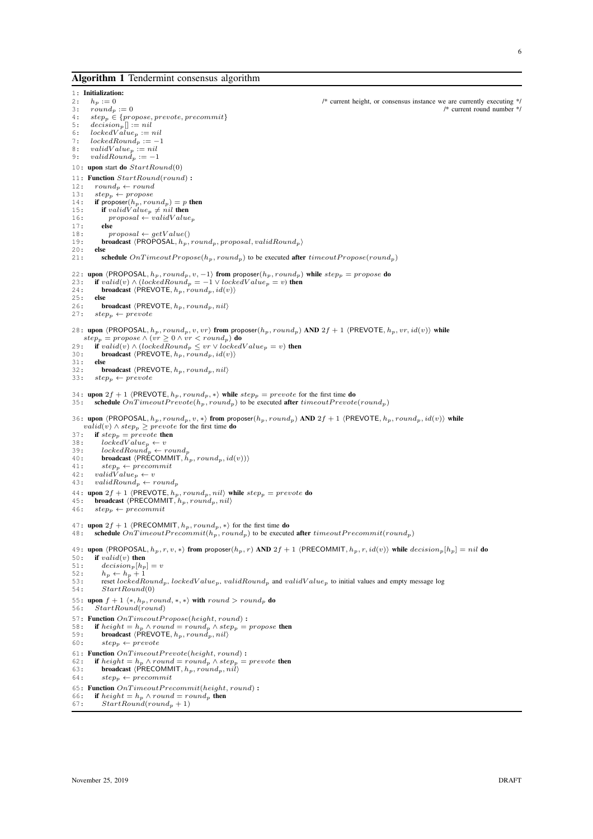#### Algorithm 1 Tendermint consensus algorithm

1: **Initialization:**<br>2:  $h_p := 0$ <br>3:  $round_p := 0$ 2:  $h_p := 0$ <br>  $\therefore$   $2 \div \frac{1}{2}$   $\therefore$   $2 \div \frac{1}{2}$   $\therefore$   $2 \div \frac{1}{2}$   $\therefore$   $2 \div \frac{1}{2}$   $\therefore$   $2 \div \frac{1}{2}$   $\therefore$   $2 \div \frac{1}{2}$   $\therefore$   $2 \div \frac{1}{2}$   $\therefore$   $2 \div \frac{1}{2}$   $\therefore$   $2 \div \frac{1}{2}$   $\therefore$   $2 \div \frac{1}{2}$   $\therefore$   $2 \div \frac{1}{2}$  3:  $round_p := 0$  /\* current round number  $\begin{aligned} 3: & r \text{ is a function of } p := 0 \\ 4: & s \text{ is a function of } p = 0 \end{aligned}$ 4:  $step_p \in \{propose, prevote, precommit\}$ <br>5:  $decision_p[] := nil$ 5:  $decision_p[] := nil$ <br>6:  $lockedValue =$ 6:  $lockedValue_p := nil$ <br>7:  $lockedBound_p := -1$  $lockedRound_p := -1$ 8:  $validValue_p := nil$ <br>9:  $validRound_p := -1$ 10: upon start do  $StartRound(0)$ 11: **Function**  $StartRound(round)$ :<br>
12:  $round_p \leftarrow round$ 12:  $round_p \leftarrow round$ 13:  $step_p \leftarrow propose$ 14: if proposer $(h_p, round_p) = p$  then 15: **if** validValue<sub>p</sub>  $\neq$  nil **then**<br>16: **proposal**  $\leftarrow$  validValue<sub>p</sub> 17:  $else$ <br>
18:  $n$  $\text{proposal} \leftarrow \text{getValue}()$ 19: **broadcast**  $\langle PROPOSAL, h_p, round_p, proposal, validRound_p \rangle$ <br>20: **else**  $20:$ <br> $21:$ schedule  $On TimeoutPropose(h_p, round_p)$  to be executed after  $timeoutPropose(round_p)$ 22: upon  $\langle$ PROPOSAL,  $h_p$ , round<sub>p</sub>, v, −1 $\rangle$  from proposer( $h_p$ , round<sub>p</sub>) while step<sub>p</sub> = propose do 23: if valid(v)  $\wedge$  (lockedRound<sub>n</sub> = −1 $\vee$  lockedValue<sub>n</sub> = v) then 23: **if** valid(v)  $\wedge$  (lockedRound<sub>p</sub> = -1  $\vee$  lockedV alue<sub>p</sub> = v) then<br>24: **broadcast** (PREVOTE h<sub>pr</sub> round<sub>p</sub> id(v)) **broadcast**  $\langle$ PREVOTE,  $h_p$ , round<sub>p</sub>, id(v))  $25:$ 26: **broadcast**  $\langle$ PREVOTE,  $h_p$ , round<sub>p</sub>, nil<sub>i</sub> 27: **step**<sub>n</sub>  $\leftarrow$  prevote  $step_p \leftarrow prevote$ 28: upon (PROPOSAL,  $h_p$ ,  $round_p$ ,  $v$ ,  $vr$ ) from proposer( $h_p$ ,  $round_p$ ) AND 2f + 1 (PREVOTE,  $h_p$ ,  $vr$ ,  $id(v)$ ) while  $step_p = propose \land (vr \geq 0 \land vr < round_p)$  do<br>29: **if** valid(v)  $\land$  (locked Round<sub>p</sub>  $\leq vr \lor$  locked 29: if valid(v) ∧ (lockedRound<sub>p</sub>  $\leq v r \vee$  lockedValue<sub>p</sub> = v) then<br>30: **broadcast** (PREVOTE, h<sub>pri</sub> round<sub>pri</sub> id(v)) **broadcast**  $\langle$ PREVOTE,  $h_p$ ,  $round_p$ ,  $id(v)$ **)**<br>**else**  $31:$ 32: **broadcast**  $\langle$ PREVOTE,  $h_p$ , round<sub>p</sub>, nil<sub> $\rangle$ </sub><br>33:  $step_n \leftarrow \text{prevote}$  $step_n \leftarrow \text{prevote}$ 34: upon  $2f + 1$  (PREVOTE,  $h_p$ , round<sub>p</sub>, \*) while step<sub>p</sub> = prevote for the first time do 35: schedule  $OnTimeoutPrevote(h_n, round_n)$  to be executed after *timeoutPrevote* schedule  $OnTimeoutPrevote(h_p, round_p)$  to be executed after  $timeoutPrevote(rownd_p)$ 36: upon  $\langle$ PROPOSAL,  $h_p$ ,  $round_p, v, *\rangle$  from proposer $(h_p, round_p)$  AND  $2f + 1$   $\langle$ PREVOTE,  $h_p, round_p, id(v)\rangle$  while  $valid(v) \wedge step_p \geq prevote$  for the first time **do** 37: if  $step_p = \text{prevote}$  then 38:  $lockedValue_p \leftarrow v$ <br>39:  $lockedRound_p \leftarrow round_p$ 40: **broadcast**  $\langle PR\tilde{ECOMMIT}, \tilde{h}_p, round_p, id(v)\rangle$ <br>41: **steps**  $\leftarrow precommit$ 41:  $step_p \leftarrow precommit$ <br>42:  $validValue_p \leftarrow v$ 43:  $validRound_p \leftarrow round_p$ 44: upon  $2f + 1$  (PREVOTE,  $h_p$ , round<sub>p</sub>, nil) while  $step_p = \text{prevote}$  do 45: broadcast (PRECOMMIT,  $h_p$ , round<sub>p</sub>, nil) 46:  $step_p \leftarrow precommit$ 47: upon  $2f + 1$  (PRECOMMIT,  $h_p, round_p, *\}$  for the first time do 48: schedule  $OnTimeoutPrecommit(h_n, round_n)$  to be execute schedule  $OnTime outPrecommit(h_p, round_p)$  to be executed after  $timeoutPrecommit(rownd_p)$ 49: upon  $\langle$ PROPOSAL,  $h_p, r, v, * \rangle$  from proposer $(h_p, r)$  AND  $2f + 1$   $\langle$ PRECOMMIT,  $h_p, r, id(v) \rangle$  while  $decision_p[h_p] = nil$  do 50: if  $valid(v)$  then 50: **if** valid(v) **then**<br>51: decision<sub>n</sub> $[h_n]$ 51:  $\qquad \qquad \text{decision}_p[h_p] = v$ <br>52:  $h_p \leftarrow h_p + 1$ 52:  $h_p \leftarrow h_p + 1$ <br>53: reset locked R 53: reset lockedRound<sub>p</sub>, lockedV alue<sub>p</sub>, validRound<sub>p</sub> and validV alue<sub>p</sub> to initial values and empty message log 54: *StartRound(0)*  $StartRound(0)$ 55: upon  $f + 1 \langle *, h_p, round, *, * \rangle$  with  $round > round_p$  do 56: StartRound(round) 57: Function  $On Time out Propose(height, round)$ : 58: **if** height = h<sub>p</sub> ∧ round = round<sub>p</sub> ∧ step<sub>p</sub> = propose then<br>59: **broadcast** (PREVOTE, h<sub>p</sub>, round<sub>p</sub>, nil) 59: **broadcast**  $\langle$ PREVOTE,  $h_p$ , round<sub>p</sub>, nil<sub>i</sub> 60: step<sub>n</sub>  $\leftarrow$  prevote  $step_p \leftarrow \text{prevote}$ 61: **Function**  $OnTime outPrevote(height, round)$ :<br>62: **if**  $height = h_p \land round = round_p \land step_p =$ 62: **if** height =  $h_p \wedge round = round_p \wedge step_p = prevote$  then<br>63: **broadcast**  $\langle PRECOMMIT, h_p, round_p, nil \rangle$ 64:  $step_p \leftarrow precommit$ 65: Function  $On Time out Precommit(head, round)$ : 66: **if** height =  $h_p \wedge$  round = round<sub>p</sub> then<br>67: StartBound(round<sub>a</sub> + 1)  $StartRound(round_p + 1)$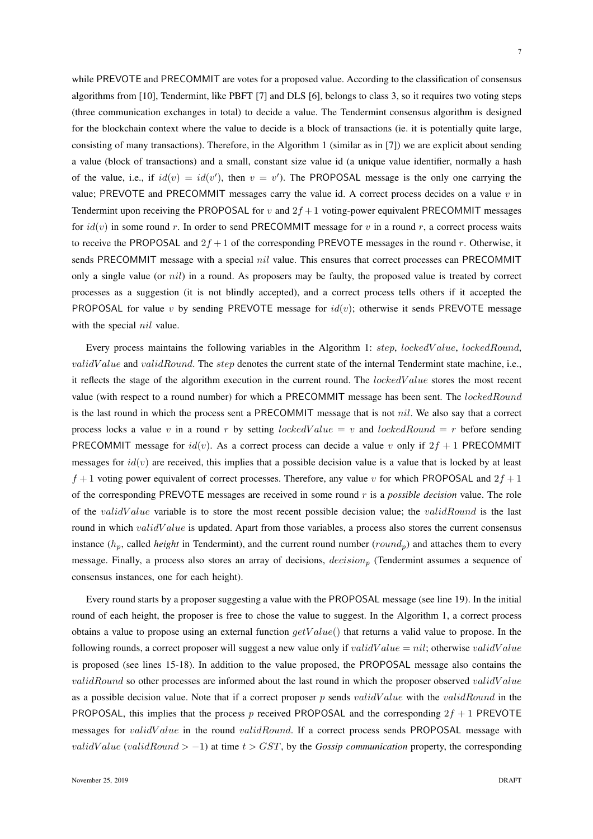while PREVOTE and PRECOMMIT are votes for a proposed value. According to the classification of consensus algorithms from [10], Tendermint, like PBFT [7] and DLS [6], belongs to class 3, so it requires two voting steps (three communication exchanges in total) to decide a value. The Tendermint consensus algorithm is designed for the blockchain context where the value to decide is a block of transactions (ie. it is potentially quite large, consisting of many transactions). Therefore, in the Algorithm 1 (similar as in [7]) we are explicit about sending a value (block of transactions) and a small, constant size value id (a unique value identifier, normally a hash of the value, i.e., if  $id(v) = id(v')$ , then  $v = v'$ ). The PROPOSAL message is the only one carrying the value; PREVOTE and PRECOMMIT messages carry the value id. A correct process decides on a value  $v$  in Tendermint upon receiving the PROPOSAL for v and  $2f + 1$  voting-power equivalent PRECOMMIT messages for  $id(v)$  in some round r. In order to send PRECOMMIT message for v in a round r, a correct process waits to receive the PROPOSAL and  $2f + 1$  of the corresponding PREVOTE messages in the round r. Otherwise, it sends PRECOMMIT message with a special *nil* value. This ensures that correct processes can PRECOMMIT only a single value (or nil) in a round. As proposers may be faulty, the proposed value is treated by correct processes as a suggestion (it is not blindly accepted), and a correct process tells others if it accepted the PROPOSAL for value v by sending PREVOTE message for  $id(v)$ ; otherwise it sends PREVOTE message with the special *nil* value.

Every process maintains the following variables in the Algorithm 1: step, lockedValue, lockedRound,  $validValue$  and  $validRound$ . The step denotes the current state of the internal Tendermint state machine, i.e., it reflects the stage of the algorithm execution in the current round. The lockedV alue stores the most recent value (with respect to a round number) for which a PRECOMMIT message has been sent. The *lockedRound* is the last round in which the process sent a PRECOMMIT message that is not nil. We also say that a correct process locks a value v in a round r by setting *lockedValue* = v and *lockedRound* = r before sending PRECOMMIT message for  $id(v)$ . As a correct process can decide a value v only if  $2f + 1$  PRECOMMIT messages for  $id(v)$  are received, this implies that a possible decision value is a value that is locked by at least  $f + 1$  voting power equivalent of correct processes. Therefore, any value v for which PROPOSAL and  $2f + 1$ of the corresponding PREVOTE messages are received in some round r is a *possible decision* value. The role of the *validValue* variable is to store the most recent possible decision value; the *validRound* is the last round in which validValue is updated. Apart from those variables, a process also stores the current consensus instance  $(h_p,$  called *height* in Tendermint), and the current round number (round<sub>p</sub>) and attaches them to every message. Finally, a process also stores an array of decisions,  $decision$  (Tendermint assumes a sequence of consensus instances, one for each height).

Every round starts by a proposer suggesting a value with the PROPOSAL message (see line 19). In the initial round of each height, the proposer is free to chose the value to suggest. In the Algorithm 1, a correct process obtains a value to propose using an external function  $getValue()$  that returns a valid value to propose. In the following rounds, a correct proposer will suggest a new value only if validValue = nil; otherwise validValue is proposed (see lines 15-18). In addition to the value proposed, the PROPOSAL message also contains the validRound so other processes are informed about the last round in which the proposer observed validV alue as a possible decision value. Note that if a correct proposer p sends validV alue with the validRound in the PROPOSAL, this implies that the process p received PROPOSAL and the corresponding  $2f + 1$  PREVOTE messages for validValue in the round validRound. If a correct process sends PROPOSAL message with *validValue (validRound* >  $-1$ ) at time  $t > GST$ , by the *Gossip communication* property, the corresponding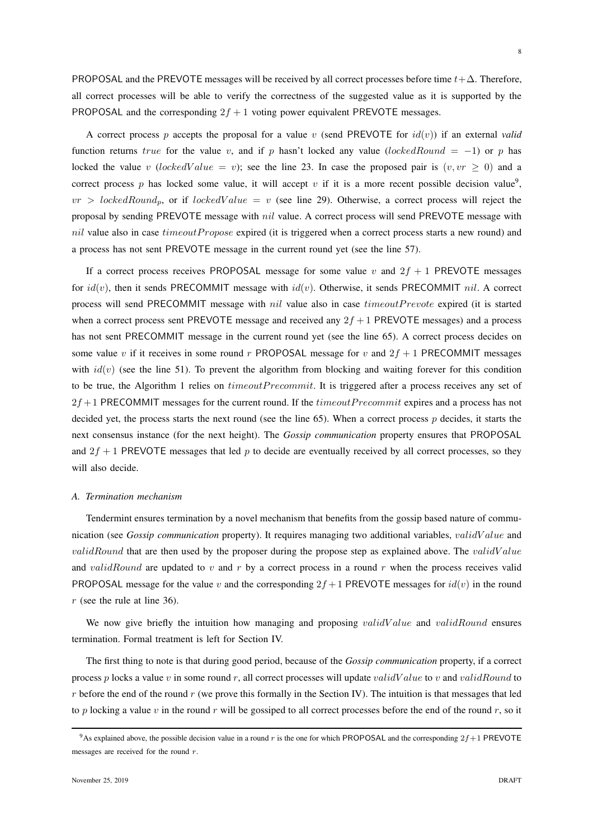PROPOSAL and the PREVOTE messages will be received by all correct processes before time  $t + \Delta$ . Therefore, all correct processes will be able to verify the correctness of the suggested value as it is supported by the PROPOSAL and the corresponding  $2f + 1$  voting power equivalent PREVOTE messages.

A correct process p accepts the proposal for a value v (send PREVOTE for  $id(v)$ ) if an external *valid* function returns true for the value v, and if p hasn't locked any value (lockedRound = -1) or p has locked the value v (lockedValue = v); see the line 23. In case the proposed pair is  $(v, vr \ge 0)$  and a correct process p has locked some value, it will accept v if it is a more recent possible decision value<sup>9</sup>,  $vr > lockedRound_p$ , or if  $lockedValue = v$  (see line 29). Otherwise, a correct process will reject the proposal by sending PREVOTE message with nil value. A correct process will send PREVOTE message with nil value also in case  $timeoutPropose$  expired (it is triggered when a correct process starts a new round) and a process has not sent PREVOTE message in the current round yet (see the line 57).

If a correct process receives PROPOSAL message for some value v and  $2f + 1$  PREVOTE messages for  $id(v)$ , then it sends PRECOMMIT message with  $id(v)$ . Otherwise, it sends PRECOMMIT nil. A correct process will send PRECOMMIT message with *nil* value also in case *timeoutPrevote* expired (it is started when a correct process sent PREVOTE message and received any  $2f + 1$  PREVOTE messages) and a process has not sent PRECOMMIT message in the current round yet (see the line 65). A correct process decides on some value v if it receives in some round r PROPOSAL message for v and  $2f + 1$  PRECOMMIT messages with  $id(v)$  (see the line 51). To prevent the algorithm from blocking and waiting forever for this condition to be true, the Algorithm 1 relies on *timeoutPrecommit*. It is triggered after a process receives any set of  $2f+1$  PRECOMMIT messages for the current round. If the *timeoutPrecommit* expires and a process has not decided yet, the process starts the next round (see the line  $65$ ). When a correct process p decides, it starts the next consensus instance (for the next height). The *Gossip communication* property ensures that PROPOSAL and  $2f + 1$  PREVOTE messages that led p to decide are eventually received by all correct processes, so they will also decide.

## *A. Termination mechanism*

Tendermint ensures termination by a novel mechanism that benefits from the gossip based nature of communication (see *Gossip communication* property). It requires managing two additional variables, validValue and  $validRound$  that are then used by the proposer during the propose step as explained above. The validValue and validRound are updated to v and r by a correct process in a round r when the process receives valid PROPOSAL message for the value v and the corresponding  $2f + 1$  PREVOTE messages for  $id(v)$  in the round r (see the rule at line 36).

We now give briefly the intuition how managing and proposing *validValue* and *validRound* ensures termination. Formal treatment is left for Section IV.

The first thing to note is that during good period, because of the *Gossip communication* property, if a correct process p locks a value v in some round r, all correct processes will update validV alue to v and validRound to r before the end of the round r (we prove this formally in the Section IV). The intuition is that messages that led to p locking a value v in the round r will be gossiped to all correct processes before the end of the round r, so it

<sup>&</sup>lt;sup>9</sup>As explained above, the possible decision value in a round r is the one for which PROPOSAL and the corresponding  $2f+1$  PREVOTE messages are received for the round r.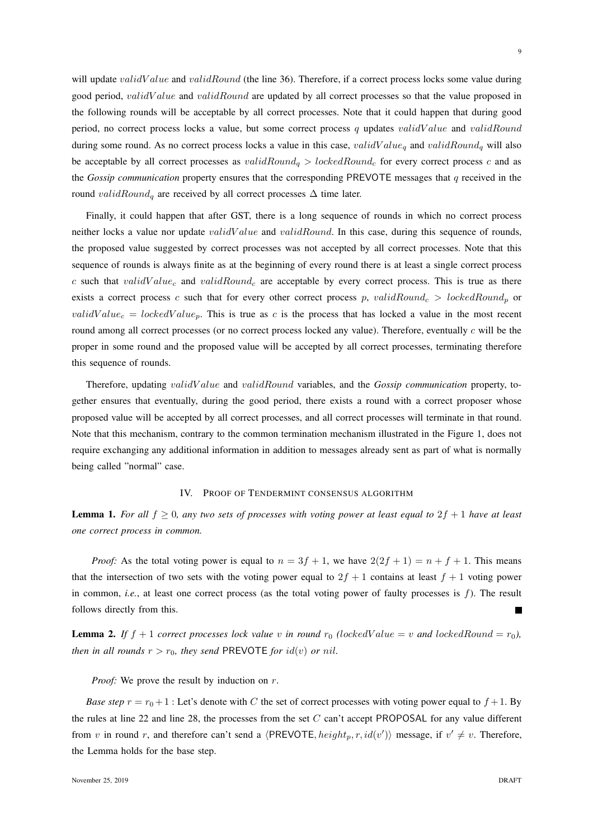will update *validValue* and *validRound* (the line 36). Therefore, if a correct process locks some value during good period, validValue and validRound are updated by all correct processes so that the value proposed in the following rounds will be acceptable by all correct processes. Note that it could happen that during good period, no correct process locks a value, but some correct process q updates validValue and validRound during some round. As no correct process locks a value in this case,  $validValue<sub>q</sub>$  and  $validRound<sub>q</sub>$  will also be acceptable by all correct processes as validRound<sub>a</sub> > lockedRound<sub>c</sub> for every correct process c and as the *Gossip communication* property ensures that the corresponding PREVOTE messages that q received in the round validRound<sub>q</sub> are received by all correct processes  $\Delta$  time later.

Finally, it could happen that after GST, there is a long sequence of rounds in which no correct process neither locks a value nor update *validValue* and *validRound*. In this case, during this sequence of rounds, the proposed value suggested by correct processes was not accepted by all correct processes. Note that this sequence of rounds is always finite as at the beginning of every round there is at least a single correct process c such that validValue<sub>c</sub> and validRound<sub>c</sub> are acceptable by every correct process. This is true as there exists a correct process c such that for every other correct process p, validRound<sub>c</sub> > lockedRound<sub>p</sub> or validValue<sub>c</sub> = lockedValue<sub>p</sub>. This is true as c is the process that has locked a value in the most recent round among all correct processes (or no correct process locked any value). Therefore, eventually  $c$  will be the proper in some round and the proposed value will be accepted by all correct processes, terminating therefore this sequence of rounds.

Therefore, updating validV alue and validRound variables, and the *Gossip communication* property, together ensures that eventually, during the good period, there exists a round with a correct proposer whose proposed value will be accepted by all correct processes, and all correct processes will terminate in that round. Note that this mechanism, contrary to the common termination mechanism illustrated in the Figure 1, does not require exchanging any additional information in addition to messages already sent as part of what is normally being called "normal" case.

#### IV. PROOF OF TENDERMINT CONSENSUS ALGORITHM

**Lemma 1.** For all  $f \ge 0$ , any two sets of processes with voting power at least equal to  $2f + 1$  have at least *one correct process in common.*

*Proof:* As the total voting power is equal to  $n = 3f + 1$ , we have  $2(2f + 1) = n + f + 1$ . This means that the intersection of two sets with the voting power equal to  $2f + 1$  contains at least  $f + 1$  voting power in common, *i.e.*, at least one correct process (as the total voting power of faulty processes is f). The result follows directly from this.

**Lemma 2.** If  $f + 1$  correct processes lock value v in round  $r_0$  (lockedValue = v and lockedRound =  $r_0$ ), *then in all rounds*  $r > r_0$ *, they send* PREVOTE *for*  $id(v)$  *or nil.* 

*Proof:* We prove the result by induction on r.

*Base step*  $r = r_0 + 1$ : Let's denote with C the set of correct processes with voting power equal to  $f + 1$ . By the rules at line 22 and line 28, the processes from the set  $C$  can't accept PROPOSAL for any value different from v in round r, and therefore can't send a  $\langle PREVOTE, height_p, r, id(v')\rangle$  message, if  $v' \neq v$ . Therefore, the Lemma holds for the base step.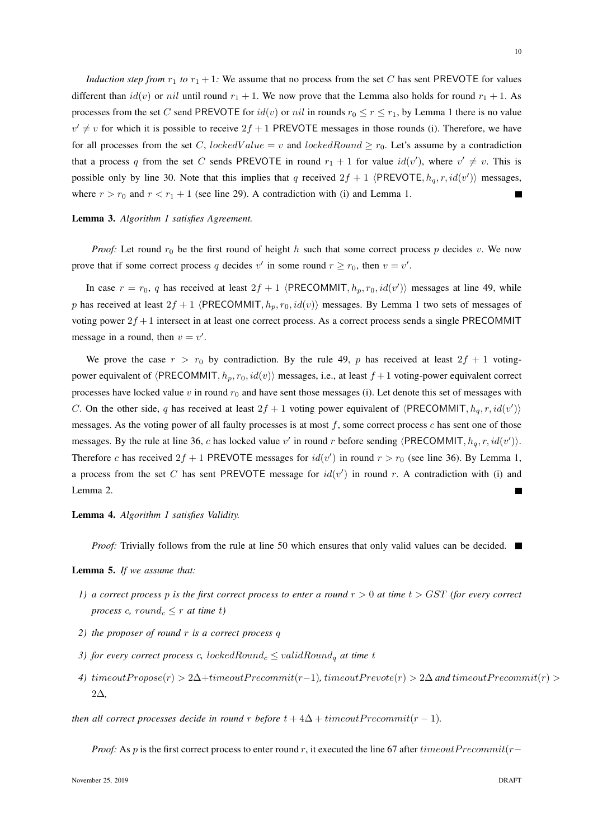*Induction step from*  $r_1$  *to*  $r_1 + 1$ *:* We assume that no process from the set C has sent PREVOTE for values different than  $id(v)$  or nil until round  $r_1 + 1$ . We now prove that the Lemma also holds for round  $r_1 + 1$ . As processes from the set C send PREVOTE for  $id(v)$  or  $nil$  in rounds  $r_0 \le r \le r_1$ , by Lemma 1 there is no value  $v' \neq v$  for which it is possible to receive  $2f + 1$  PREVOTE messages in those rounds (i). Therefore, we have for all processes from the set C, lockedValue = v and lockedRound  $\geq r_0$ . Let's assume by a contradiction that a process q from the set C sends PREVOTE in round  $r_1 + 1$  for value  $id(v')$ , where  $v' \neq v$ . This is possible only by line 30. Note that this implies that q received  $2f + 1$   $\langle PREVOTE, h_q, r, id(v')\rangle$  messages, where  $r > r_0$  and  $r < r_1 + 1$  (see line 29). A contradiction with (i) and Lemma 1.

## Lemma 3. *Algorithm 1 satisfies Agreement.*

*Proof:* Let round  $r_0$  be the first round of height h such that some correct process p decides v. We now prove that if some correct process q decides v' in some round  $r \ge r_0$ , then  $v = v'$ .

In case  $r = r_0$ , q has received at least  $2f + 1$  (PRECOMMIT,  $h_p, r_0, id(v')$ ) messages at line 49, while p has received at least  $2f + 1$  (PRECOMMIT,  $h_p, r_0, id(v)$ ) messages. By Lemma 1 two sets of messages of voting power  $2f + 1$  intersect in at least one correct process. As a correct process sends a single PRECOMMIT message in a round, then  $v = v'$ .

We prove the case  $r > r_0$  by contradiction. By the rule 49, p has received at least  $2f + 1$  votingpower equivalent of  $\langle PRECOMMIT, h_p, r_0, id(v) \rangle$  messages, i.e., at least  $f + 1$  voting-power equivalent correct processes have locked value  $v$  in round  $r_0$  and have sent those messages (i). Let denote this set of messages with C. On the other side, q has received at least  $2f + 1$  voting power equivalent of  $\langle PRECOMMIT, h_q, r, id(v')\rangle$ messages. As the voting power of all faulty processes is at most  $f$ , some correct process  $c$  has sent one of those messages. By the rule at line 36, c has locked value v' in round r before sending  $\langle PRECOMMIT, h_q, r, id(v')\rangle$ . Therefore c has received  $2f + 1$  PREVOTE messages for  $id(v')$  in round  $r > r_0$  (see line 36). By Lemma 1, a process from the set C has sent PREVOTE message for  $id(v')$  in round r. A contradiction with (i) and Lemma 2.  $\blacksquare$ 

# Lemma 4. *Algorithm 1 satisfies Validity.*

*Proof:* Trivially follows from the rule at line 50 which ensures that only valid values can be decided.

#### Lemma 5. *If we assume that:*

- *1) a correct process p is the first correct process to enter a round*  $r > 0$  *at time*  $t > GST$  *(for every correct process* c, round<sub>c</sub>  $\leq$  r at time t)
- *2) the proposer of round* r *is a correct process* q
- *3) for every correct process c, lockedRound<sub>c</sub>*  $\leq$  *validRound<sub>a</sub> at time t*
- *4)*  $timeoutPropose(r) > 2\Delta + timeoutPrecommit(r-1)$ ,  $timeoutPrevote(r) > 2\Delta$  and  $timeoutPrecommit(r) > 2\Delta + timeoutPrecomm)$ 2∆*,*

*then all correct processes decide in round* r *before*  $t + 4\Delta + t$ *imeoutPrecommit*( $r - 1$ *).* 

*Proof:* As p is the first correct process to enter round r, it executed the line 67 after timeout Precommit( $r-$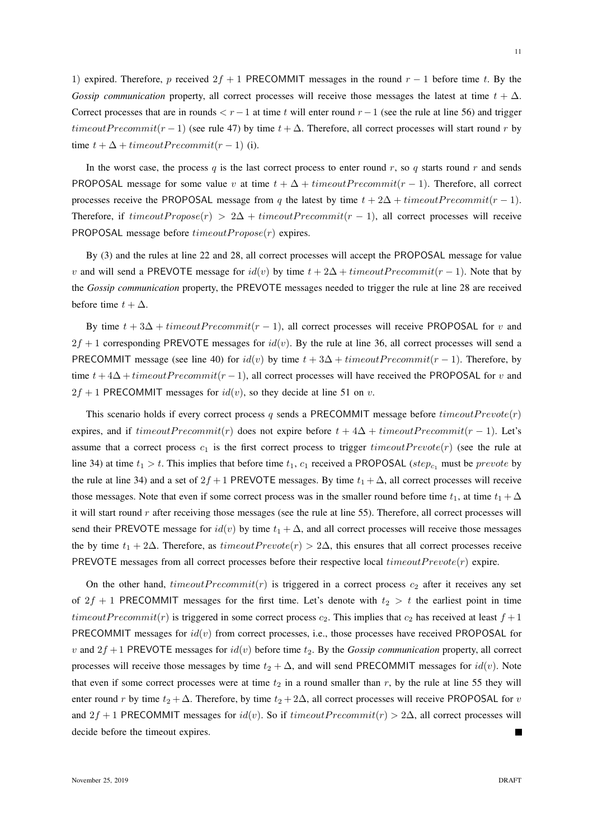1) expired. Therefore, p received  $2f + 1$  PRECOMMIT messages in the round  $r - 1$  before time t. By the *Gossip communication* property, all correct processes will receive those messages the latest at time  $t + \Delta$ . Correct processes that are in rounds  $\lt r-1$  at time t will enter round  $r-1$  (see the rule at line 56) and trigger timeoutPrecommit(r – 1) (see rule 47) by time  $t + \Delta$ . Therefore, all correct processes will start round r by time  $t + \Delta + \text{timeout}$   $Precommit(r - 1)$  (i).

In the worst case, the process q is the last correct process to enter round r, so q starts round r and sends PROPOSAL message for some value v at time  $t + \Delta + timeoutPrecommit(r - 1)$ . Therefore, all correct processes receive the PROPOSAL message from q the latest by time  $t + 2\Delta + timeoutPrecommit(r - 1)$ . Therefore, if  $timeoutPropose(r) > 2\Delta + timeoutPrecommit(r - 1)$ , all correct processes will receive PROPOSAL message before  $timeoutPropose(r)$  expires.

By (3) and the rules at line 22 and 28, all correct processes will accept the PROPOSAL message for value v and will send a PREVOTE message for  $id(v)$  by time  $t + 2\Delta + timeoutPrecommit(r - 1)$ . Note that by the *Gossip communication* property, the PREVOTE messages needed to trigger the rule at line 28 are received before time  $t + \Delta$ .

By time  $t + 3\Delta + timeoutPrecommit(r - 1)$ , all correct processes will receive PROPOSAL for v and  $2f + 1$  corresponding PREVOTE messages for  $id(v)$ . By the rule at line 36, all correct processes will send a PRECOMMIT message (see line 40) for  $id(v)$  by time  $t + 3\Delta + timeoutPrecommit(r - 1)$ . Therefore, by time  $t + 4\Delta + timeoutPrecommit(r - 1)$ , all correct processes will have received the PROPOSAL for v and  $2f + 1$  PRECOMMIT messages for  $id(v)$ , so they decide at line 51 on v.

This scenario holds if every correct process q sends a PRECOMMIT message before  $timeout$ expires, and if  $timeoutPrecommit(r)$  does not expire before  $t + 4\Delta + timeoutPrecommit(r - 1)$ . Let's assume that a correct process  $c_1$  is the first correct process to trigger timeout  $Prevote(r)$  (see the rule at line 34) at time  $t_1 > t$ . This implies that before time  $t_1, c_1$  received a PROPOSAL (step<sub>c1</sub> must be prevote by the rule at line 34) and a set of  $2f + 1$  PREVOTE messages. By time  $t_1 + \Delta$ , all correct processes will receive those messages. Note that even if some correct process was in the smaller round before time  $t_1$ , at time  $t_1 + \Delta$ it will start round  $r$  after receiving those messages (see the rule at line 55). Therefore, all correct processes will send their PREVOTE message for  $id(v)$  by time  $t_1 + \Delta$ , and all correct processes will receive those messages the by time  $t_1 + 2\Delta$ . Therefore, as timeoutPrevote(r) > 2 $\Delta$ , this ensures that all correct processes receive PREVOTE messages from all correct processes before their respective local  $timeout$  expire.

On the other hand, timeoutPrecommit(r) is triggered in a correct process  $c_2$  after it receives any set of  $2f + 1$  PRECOMMIT messages for the first time. Let's denote with  $t_2 > t$  the earliest point in time timeoutPrecommit(r) is triggered in some correct process  $c_2$ . This implies that  $c_2$  has received at least  $f + 1$ PRECOMMIT messages for  $id(v)$  from correct processes, i.e., those processes have received PROPOSAL for v and  $2f + 1$  PREVOTE messages for  $id(v)$  before time  $t_2$ . By the *Gossip communication* property, all correct processes will receive those messages by time  $t_2 + \Delta$ , and will send PRECOMMIT messages for  $id(v)$ . Note that even if some correct processes were at time  $t_2$  in a round smaller than r, by the rule at line 55 they will enter round r by time  $t_2 + \Delta$ . Therefore, by time  $t_2 + 2\Delta$ , all correct processes will receive PROPOSAL for v and  $2f + 1$  PRECOMMIT messages for  $id(v)$ . So if  $timeoutPrecommit(r) > 2\Delta$ , all correct processes will decide before the timeout expires. П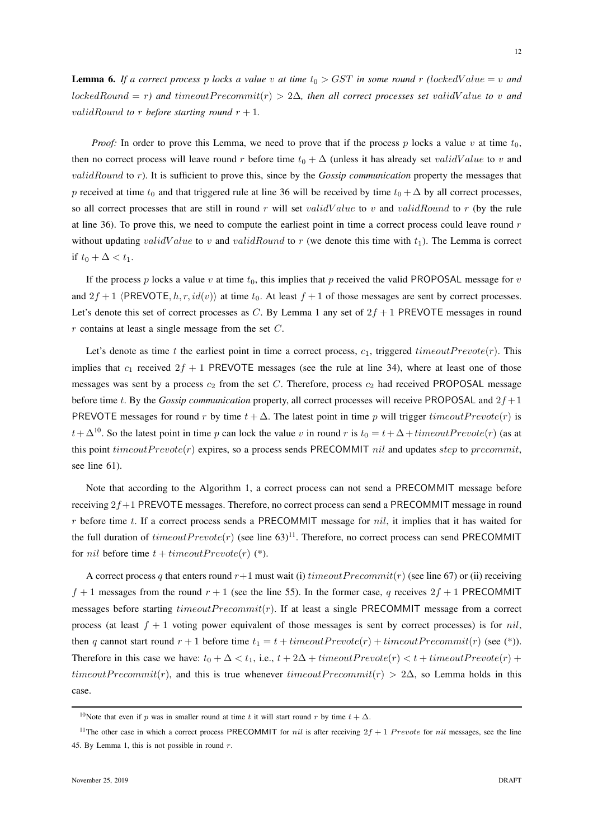*Proof:* In order to prove this Lemma, we need to prove that if the process p locks a value v at time  $t_0$ , then no correct process will leave round r before time  $t_0 + \Delta$  (unless it has already set validValue to v and validRound to r). It is sufficient to prove this, since by the *Gossip communication* property the messages that p received at time  $t_0$  and that triggered rule at line 36 will be received by time  $t_0 + \Delta$  by all correct processes, so all correct processes that are still in round r will set *validValue* to v and validRound to r (by the rule at line 36). To prove this, we need to compute the earliest point in time a correct process could leave round  $r$ without updating validValue to v and validRound to r (we denote this time with  $t_1$ ). The Lemma is correct if  $t_0 + \Delta < t_1$ .

If the process p locks a value v at time  $t_0$ , this implies that p received the valid PROPOSAL message for v and  $2f + 1$   $\langle PREVOTE, h, r, id(v)\rangle$  at time  $t_0$ . At least  $f + 1$  of those messages are sent by correct processes. Let's denote this set of correct processes as C. By Lemma 1 any set of  $2f + 1$  PREVOTE messages in round  $r$  contains at least a single message from the set  $C$ .

Let's denote as time t the earliest point in time a correct process,  $c_1$ , triggered timeout  $Prevote(r)$ . This implies that  $c_1$  received  $2f + 1$  PREVOTE messages (see the rule at line 34), where at least one of those messages was sent by a process  $c_2$  from the set C. Therefore, process  $c_2$  had received PROPOSAL message before time t. By the *Gossip communication* property, all correct processes will receive PROPOSAL and  $2f + 1$ PREVOTE messages for round r by time  $t + \Delta$ . The latest point in time p will trigger timeout Prevote(r) is  $t+\Delta^{10}$ . So the latest point in time p can lock the value v in round r is  $t_0 = t+\Delta + timeoutPrevote(r)$  (as at this point  $timeout$   $Prevote(r)$  expires, so a process sends PRECOMMIT *nil* and updates *step* to precommit, see line 61).

Note that according to the Algorithm 1, a correct process can not send a PRECOMMIT message before receiving  $2f+1$  PREVOTE messages. Therefore, no correct process can send a PRECOMMIT message in round  $r$  before time t. If a correct process sends a PRECOMMIT message for  $nil$ , it implies that it has waited for the full duration of  $timeout Prevote(r)$  (see line 63)<sup>11</sup>. Therefore, no correct process can send PRECOMMIT for *nil* before time  $t + timeout Prevote(r)$  (\*).

A correct process q that enters round  $r+1$  must wait (i) timeout Precommit(r) (see line 67) or (ii) receiving  $f + 1$  messages from the round  $r + 1$  (see the line 55). In the former case, q receives  $2f + 1$  PRECOMMIT messages before starting  $timeout Precommit(r)$ . If at least a single PRECOMMIT message from a correct process (at least  $f + 1$  voting power equivalent of those messages is sent by correct processes) is for *nil*, then q cannot start round  $r + 1$  before time  $t_1 = t + timeoutPrevote(r) + timeoutPrecommit(r)$  (see (\*)). Therefore in this case we have:  $t_0 + \Delta < t_1$ , i.e.,  $t + 2\Delta + t$  imeout  $Prevote(r) < t + t$  imeout  $Prevote(r) + t$ timeoutPrecommit(r), and this is true whenever timeoutPrecommit(r) > 2 $\Delta$ , so Lemma holds in this case.

<sup>&</sup>lt;sup>10</sup>Note that even if p was in smaller round at time t it will start round r by time  $t + \Delta$ .

<sup>&</sup>lt;sup>11</sup>The other case in which a correct process PRECOMMIT for *nil* is after receiving  $2f + 1$  Prevote for *nil* messages, see the line 45. By Lemma 1, this is not possible in round  $r$ .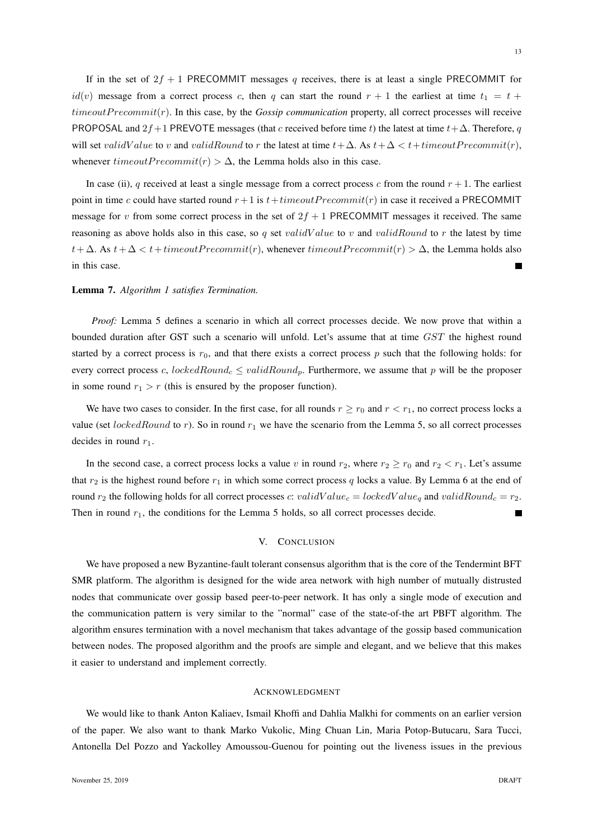If in the set of  $2f + 1$  PRECOMMIT messages q receives, there is at least a single PRECOMMIT for  $id(v)$  message from a correct process c, then q can start the round  $r + 1$  the earliest at time  $t_1 = t +$ timeoutP recommit(r). In this case, by the *Gossip communication* property, all correct processes will receive PROPOSAL and 2f +1 PREVOTE messages (that c received before time t) the latest at time  $t + \Delta$ . Therefore, q will set validValue to v and validRound to r the latest at time  $t + \Delta$ . As  $t + \Delta < t + timeoutPrecommit(r)$ , whenever  $timeoutPrecommit(r) > \Delta$ , the Lemma holds also in this case.

In case (ii), q received at least a single message from a correct process c from the round  $r + 1$ . The earliest point in time c could have started round  $r+1$  is  $t+timeout$   $Precommit(r)$  in case it received a PRECOMMIT message for v from some correct process in the set of  $2f + 1$  PRECOMMIT messages it received. The same reasoning as above holds also in this case, so q set validValue to v and validRound to r the latest by time  $t+\Delta$ . As  $t+\Delta < t$  + timeout Precommit(r), whenever timeout Precommit(r) >  $\Delta$ , the Lemma holds also in this case. Ē

# Lemma 7. *Algorithm 1 satisfies Termination.*

*Proof:* Lemma 5 defines a scenario in which all correct processes decide. We now prove that within a bounded duration after GST such a scenario will unfold. Let's assume that at time GST the highest round started by a correct process is  $r_0$ , and that there exists a correct process p such that the following holds: for every correct process c, lockedRound<sub>c</sub>  $\leq$  validRound<sub>p</sub>. Furthermore, we assume that p will be the proposer in some round  $r_1 > r$  (this is ensured by the proposer function).

We have two cases to consider. In the first case, for all rounds  $r \ge r_0$  and  $r < r_1$ , no correct process locks a value (set *lockedRound* to r). So in round  $r_1$  we have the scenario from the Lemma 5, so all correct processes decides in round  $r_1$ .

In the second case, a correct process locks a value v in round  $r_2$ , where  $r_2 \ge r_0$  and  $r_2 < r_1$ . Let's assume that  $r_2$  is the highest round before  $r_1$  in which some correct process q locks a value. By Lemma 6 at the end of round  $r_2$  the following holds for all correct processes c: validValue<sub>c</sub> = lockedValue<sub>q</sub> and validRound<sub>c</sub> =  $r_2$ . Then in round  $r_1$ , the conditions for the Lemma 5 holds, so all correct processes decide. П

## V. CONCLUSION

We have proposed a new Byzantine-fault tolerant consensus algorithm that is the core of the Tendermint BFT SMR platform. The algorithm is designed for the wide area network with high number of mutually distrusted nodes that communicate over gossip based peer-to-peer network. It has only a single mode of execution and the communication pattern is very similar to the "normal" case of the state-of-the art PBFT algorithm. The algorithm ensures termination with a novel mechanism that takes advantage of the gossip based communication between nodes. The proposed algorithm and the proofs are simple and elegant, and we believe that this makes it easier to understand and implement correctly.

#### ACKNOWLEDGMENT

We would like to thank Anton Kaliaev, Ismail Khoffi and Dahlia Malkhi for comments on an earlier version of the paper. We also want to thank Marko Vukolic, Ming Chuan Lin, Maria Potop-Butucaru, Sara Tucci, Antonella Del Pozzo and Yackolley Amoussou-Guenou for pointing out the liveness issues in the previous